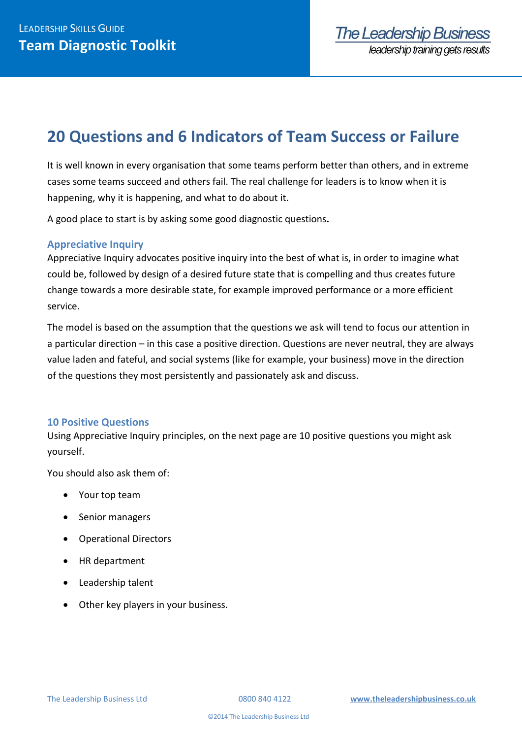# **20 Questions and 6 Indicators of Team Success or Failure**

It is well known in every organisation that some teams perform better than others, and in extreme cases some teams succeed and others fail. The real challenge for leaders is to know when it is happening, why it is happening, and what to do about it.

A good place to start is by asking some good diagnostic questions**.**

# **Appreciative Inquiry**

Appreciative Inquiry advocates positive inquiry into the best of what is, in order to imagine what could be, followed by design of a desired future state that is compelling and thus creates future change towards a more desirable state, for example improved performance or a more efficient service.

The model is based on the assumption that the questions we ask will tend to focus our attention in a particular direction – in this case a positive direction. Questions are never neutral, they are always value laden and fateful, and social systems (like for example, your business) move in the direction of the questions they most persistently and passionately ask and discuss.

### **10 Positive Questions**

Using Appreciative Inquiry principles, on the next page are 10 positive questions you might ask yourself.

You should also ask them of:

- Your top team
- Senior managers
- Operational Directors
- HR department
- Leadership talent
- Other key players in your business.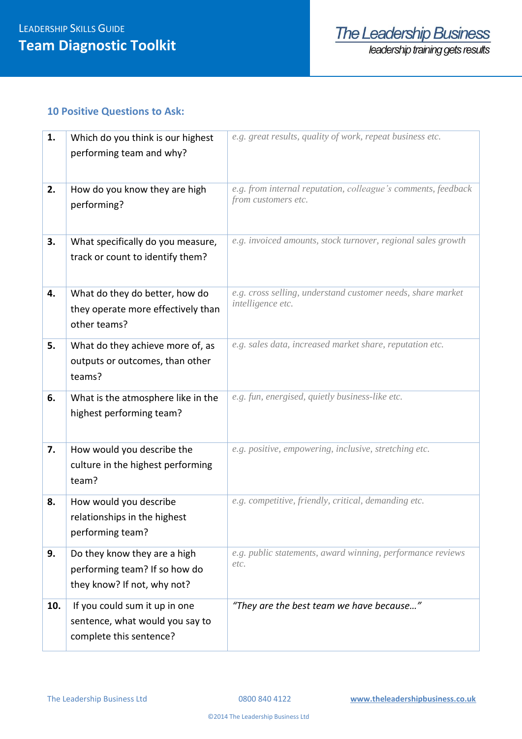## **10 Positive Questions to Ask:**

| 1.  | Which do you think is our highest<br>performing team and why?                                | e.g. great results, quality of work, repeat business etc.                            |  |
|-----|----------------------------------------------------------------------------------------------|--------------------------------------------------------------------------------------|--|
| 2.  | How do you know they are high<br>performing?                                                 | e.g. from internal reputation, colleague's comments, feedback<br>from customers etc. |  |
| 3.  | What specifically do you measure,<br>track or count to identify them?                        | e.g. invoiced amounts, stock turnover, regional sales growth                         |  |
| 4.  | What do they do better, how do<br>they operate more effectively than<br>other teams?         | e.g. cross selling, understand customer needs, share market<br>intelligence etc.     |  |
| 5.  | What do they achieve more of, as<br>outputs or outcomes, than other<br>teams?                | e.g. sales data, increased market share, reputation etc.                             |  |
| 6.  | What is the atmosphere like in the<br>highest performing team?                               | e.g. fun, energised, quietly business-like etc.                                      |  |
| 7.  | How would you describe the<br>culture in the highest performing<br>team?                     | e.g. positive, empowering, inclusive, stretching etc.                                |  |
| 8.  | How would you describe<br>relationships in the highest<br>performing team?                   | e.g. competitive, friendly, critical, demanding etc.                                 |  |
| 9.  | Do they know they are a high<br>performing team? If so how do<br>they know? If not, why not? | e.g. public statements, award winning, performance reviews<br>etc.                   |  |
| 10. | If you could sum it up in one<br>sentence, what would you say to<br>complete this sentence?  | "They are the best team we have because"                                             |  |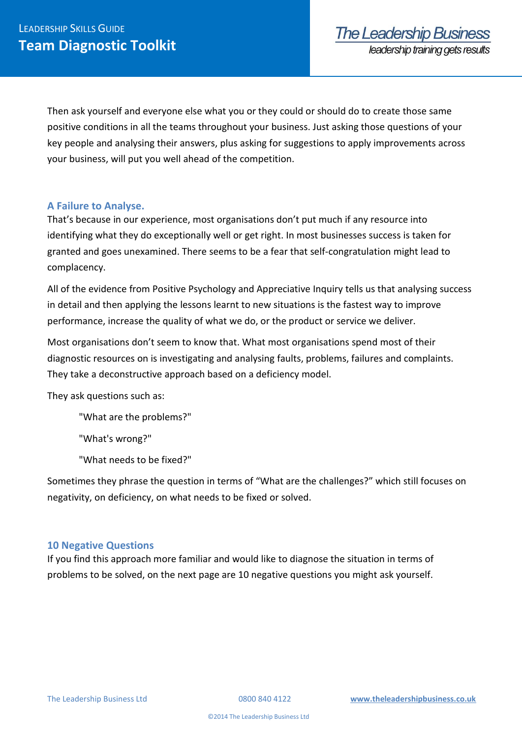Then ask yourself and everyone else what you or they could or should do to create those same positive conditions in all the teams throughout your business. Just asking those questions of your key people and analysing their answers, plus asking for suggestions to apply improvements across your business, will put you well ahead of the competition.

## **A Failure to Analyse.**

That's because in our experience, most organisations don't put much if any resource into identifying what they do exceptionally well or get right. In most businesses success is taken for granted and goes unexamined. There seems to be a fear that self-congratulation might lead to complacency.

All of the evidence from Positive Psychology and Appreciative Inquiry tells us that analysing success in detail and then applying the lessons learnt to new situations is the fastest way to improve performance, increase the quality of what we do, or the product or service we deliver.

Most organisations don't seem to know that. What most organisations spend most of their diagnostic resources on is investigating and analysing faults, problems, failures and complaints. They take a deconstructive approach based on a deficiency model.

They ask questions such as:

"What are the problems?"

"What's wrong?"

"What needs to be fixed?"

Sometimes they phrase the question in terms of "What are the challenges?" which still focuses on negativity, on deficiency, on what needs to be fixed or solved.

### **10 Negative Questions**

If you find this approach more familiar and would like to diagnose the situation in terms of problems to be solved, on the next page are 10 negative questions you might ask yourself.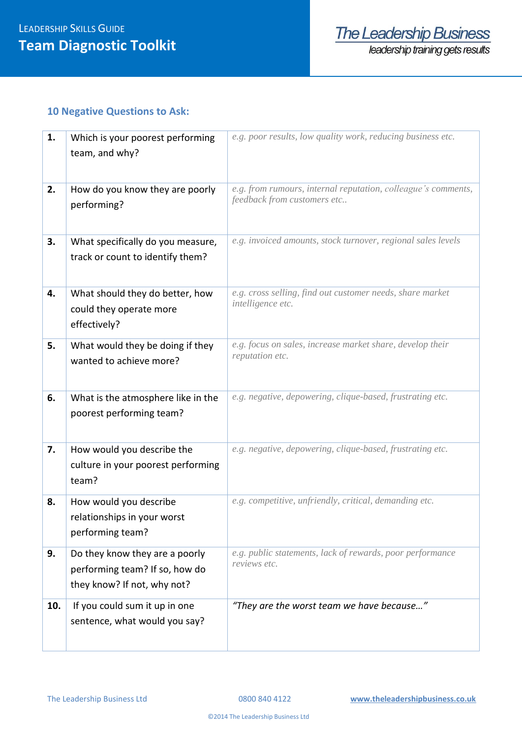# **10 Negative Questions to Ask:**

| 1.  | Which is your poorest performing<br>team, and why?                                              | e.g. poor results, low quality work, reducing business etc.                                  |  |
|-----|-------------------------------------------------------------------------------------------------|----------------------------------------------------------------------------------------------|--|
| 2.  | How do you know they are poorly<br>performing?                                                  | e.g. from rumours, internal reputation, colleague's comments,<br>feedback from customers etc |  |
| 3.  | What specifically do you measure,<br>track or count to identify them?                           | e.g. invoiced amounts, stock turnover, regional sales levels                                 |  |
| 4.  | What should they do better, how<br>could they operate more<br>effectively?                      | e.g. cross selling, find out customer needs, share market<br>intelligence etc.               |  |
| 5.  | What would they be doing if they<br>wanted to achieve more?                                     | e.g. focus on sales, increase market share, develop their<br>reputation etc.                 |  |
| 6.  | What is the atmosphere like in the<br>poorest performing team?                                  | e.g. negative, depowering, clique-based, frustrating etc.                                    |  |
| 7.  | How would you describe the<br>culture in your poorest performing<br>team?                       | e.g. negative, depowering, clique-based, frustrating etc.                                    |  |
| 8.  | How would you describe<br>relationships in your worst<br>performing team?                       | e.g. competitive, unfriendly, critical, demanding etc.                                       |  |
| 9.  | Do they know they are a poorly<br>performing team? If so, how do<br>they know? If not, why not? | e.g. public statements, lack of rewards, poor performance<br>reviews etc.                    |  |
| 10. | If you could sum it up in one<br>sentence, what would you say?                                  | "They are the worst team we have because"                                                    |  |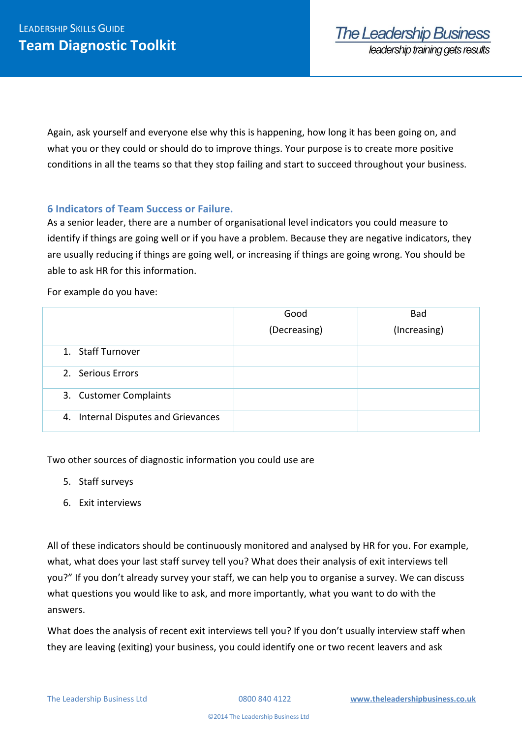Again, ask yourself and everyone else why this is happening, how long it has been going on, and what you or they could or should do to improve things. Your purpose is to create more positive conditions in all the teams so that they stop failing and start to succeed throughout your business.

# **6 Indicators of Team Success or Failure.**

As a senior leader, there are a number of organisational level indicators you could measure to identify if things are going well or if you have a problem. Because they are negative indicators, they are usually reducing if things are going well, or increasing if things are going wrong. You should be able to ask HR for this information.

For example do you have:

|                                     | Good         | <b>Bad</b>   |
|-------------------------------------|--------------|--------------|
|                                     | (Decreasing) | (Increasing) |
| 1. Staff Turnover                   |              |              |
| 2. Serious Errors                   |              |              |
| 3. Customer Complaints              |              |              |
| 4. Internal Disputes and Grievances |              |              |

Two other sources of diagnostic information you could use are

- 5. Staff surveys
- 6. Exit interviews

All of these indicators should be continuously monitored and analysed by HR for you. For example, what, what does your last staff survey tell you? What does their analysis of exit interviews tell you?" If you don't already survey your staff, we can help you to organise a survey. We can discuss what questions you would like to ask, and more importantly, what you want to do with the answers.

What does the analysis of recent exit interviews tell you? If you don't usually interview staff when they are leaving (exiting) your business, you could identify one or two recent leavers and ask